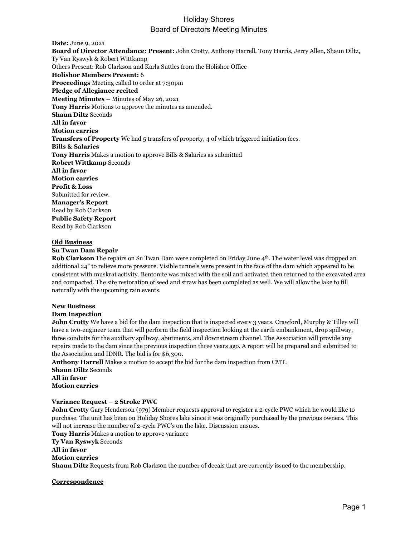# Holiday Shores Board of Directors Meeting Minutes

**Date:** June 9, 2021 **Board of Director Attendance: Present:** John Crotty, Anthony Harrell, Tony Harris, Jerry Allen, Shaun Diltz, Ty Van Ryswyk & Robert Wittkamp Others Present: Rob Clarkson and Karla Suttles from the Holishor Office **Holishor Members Present:** 6 **Proceedings** Meeting called to order at 7:30pm **Pledge of Allegiance recited Meeting Minutes –** Minutes of May 26, 2021 **Tony Harris** Motions to approve the minutes as amended. **Shaun Diltz** Seconds **All in favor Motion carries Transfers of Property** We had 5 transfers of property, 4 of which triggered initiation fees. **Bills & Salaries Tony Harris** Makes a motion to approve Bills & Salaries as submitted **Robert Wittkamp** Seconds **All in favor Motion carries Profit & Loss** Submitted for review. **Manager's Report** Read by Rob Clarkson **Public Safety Report** Read by Rob Clarkson

### **Old Business**

# **Su Twan Dam Repair**

**Rob Clarkson** The repairs on Su Twan Dam were completed on Friday June 4<sup>th</sup>. The water level was dropped an additional 24" to relieve more pressure. Visible tunnels were present in the face of the dam which appeared to be consistent with muskrat activity. Bentonite was mixed with the soil and activated then returned to the excavated area and compacted. The site restoration of seed and straw has been completed as well. We will allow the lake to fill naturally with the upcoming rain events.

# **New Business**

# **Dam Inspection**

**John Crotty** We have a bid for the dam inspection that is inspected every 3 years. Crawford, Murphy & Tilley will have a two-engineer team that will perform the field inspection looking at the earth embankment, drop spillway, three conduits for the auxiliary spillway, abutments, and downstream channel. The Association will provide any repairs made to the dam since the previous inspection three years ago. A report will be prepared and submitted to the Association and IDNR. The bid is for \$6,300.

**Anthony Harrell** Makes a motion to accept the bid for the dam inspection from CMT. **Shaun Diltz** Seconds **All in favor Motion carries**

## **Variance Request – 2 Stroke PWC**

**John Crotty** Gary Henderson (979) Member requests approval to register a 2-cycle PWC which he would like to purchase. The unit has been on Holiday Shores lake since it was originally purchased by the previous owners. This will not increase the number of 2-cycle PWC's on the lake. Discussion ensues.

**Tony Harris** Makes a motion to approve variance **Ty Van Ryswyk** Seconds

**All in favor**

**Motion carries**

**Shaun Diltz** Requests from Rob Clarkson the number of decals that are currently issued to the membership.

### **Correspondence**